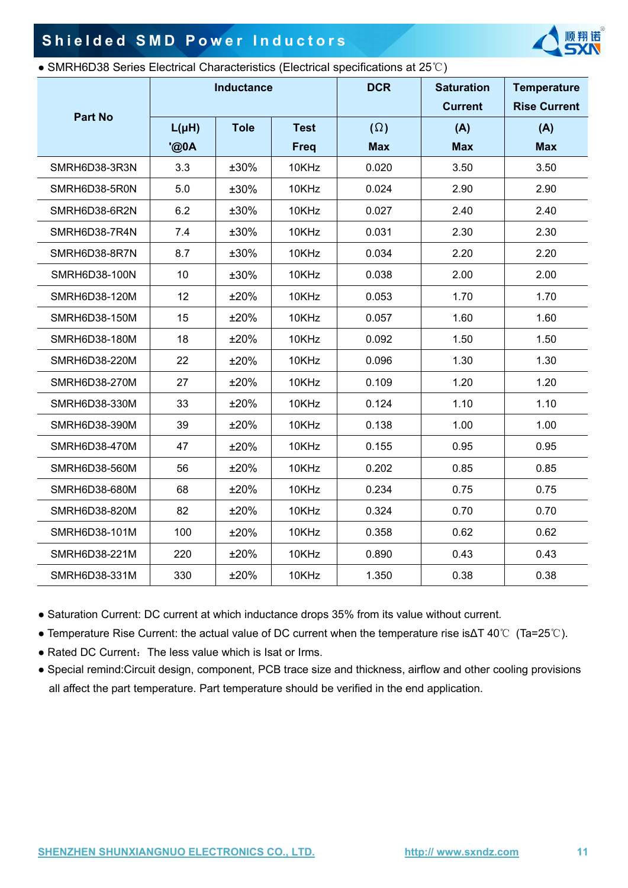$S_{\mathcal{N}}$ 

# **Shielded SMD Power Inductors** r Induct<br>ctenstics (Electr

#### ● SMRH6D38 Series Electrical Characteristics (Electrical specifications at 25℃)

| <b>Part No</b> | Inductance        |             |                            | • SMRH6D38 Series Electrical Characteristics (Electrical specifications at 25°C)<br><b>DCR</b> | <b>Saturation</b><br><b>Current</b> | <b>Temperature</b><br><b>Rise Current</b> |  |
|----------------|-------------------|-------------|----------------------------|------------------------------------------------------------------------------------------------|-------------------------------------|-------------------------------------------|--|
|                | $L(\mu H)$<br>@0A | <b>Tole</b> | <b>Test</b><br><b>Freq</b> | $(\Omega)$<br><b>Max</b>                                                                       | (A)<br><b>Max</b>                   | (A)<br><b>Max</b>                         |  |
| SMRH6D38-3R3N  | 3.3               | ±30%        | 10KHz $\sim$               | 0.020                                                                                          | 3.50                                | 3.50                                      |  |
| SMRH6D38-5R0N  | $5.0\,$           | ±30%        | 10KHz                      | 0.024                                                                                          | 2.90                                | 2.90                                      |  |
| SMRH6D38-6R2N  | 6.2               | ±30%        | 10KHz                      | 0.027                                                                                          | 2.40                                | 2.40                                      |  |
| SMRH6D38-7R4N  | 7.4               | ±30%        | 10KHz                      | 0.031                                                                                          | 2.30                                | 2.30                                      |  |
| SMRH6D38-8R7N  | 8.7               | ±30%        | 10KHz                      | 0.034                                                                                          | 2.20                                | 2.20                                      |  |
| SMRH6D38-100N  | 10                | ±30%        | 10KHz                      | 0.038                                                                                          | 2.00                                | 2.00                                      |  |
| SMRH6D38-120M  | 12                | ±20%        | 10KHz                      | 0.053                                                                                          | 1.70                                | 1.70                                      |  |
| SMRH6D38-150M  | 15                | ±20%        | 10KHz                      | 0.057                                                                                          | 1.60                                | 1.60                                      |  |
| SMRH6D38-180M  | 18                | ±20%        | 10KHz                      | 0.092                                                                                          | 1.50                                | 1.50                                      |  |
| SMRH6D38-220M  | 22                | ±20%        | 10KHz                      | 0.096                                                                                          | 1.30                                | 1.30                                      |  |
| SMRH6D38-270M  | 27                | ±20%        | 10KHz                      | 0.109                                                                                          | 1.20                                | 1.20                                      |  |
| SMRH6D38-330M  | 33                | ±20%        | 10KHz                      | 0.124                                                                                          | 1.10                                | 1.10                                      |  |
| SMRH6D38-390M  | 39                | ±20%        | 10KHz                      | 0.138                                                                                          | 1.00                                | 1.00                                      |  |
| SMRH6D38-470M  | 47                | ±20%        | 10KHz                      | 0.155                                                                                          | 0.95                                | 0.95                                      |  |
| SMRH6D38-560M  | 56                | ±20%        | 10KHz                      | 0.202                                                                                          | 0.85                                | 0.85                                      |  |
| SMRH6D38-680M  | 68                | ±20%        | 10KHz                      | 0.234                                                                                          | 0.75                                | 0.75                                      |  |
| SMRH6D38-820M  | 82                | ±20%        | 10KHz                      | 0.324                                                                                          | 0.70                                | 0.70                                      |  |
| SMRH6D38-101M  | 100               | ±20%        | 10KHz                      | 0.358                                                                                          | 0.62                                | 0.62                                      |  |
| SMRH6D38-221M  | 220               | ±20%        | 10KHz                      | 0.890                                                                                          | 0.43                                | 0.43                                      |  |
| SMRH6D38-331M  | 330               | ±20%        | 10KHz                      | 1.350                                                                                          | 0.38                                | 0.38                                      |  |

 $S_{\mathcal{N}}$ 

● Temperature Rise Current: the actual value of DC current when the temperature rise is∆T 40℃ (Ta=25℃).

• Rated DC Current: The less value which is Isat or Irms.

● Special remind:Circuit design, component, PCB trace size and thickness, airflow and other cooling provisions all affect the part temperature. Part temperature should be verified in the end application. ooling provisions SXN- 翔诺 The less value which is Isat or Irms.<br>
uit design, component, PCB trace size and thickness,<br>
moderature. Part temperature should be verified in the

 $S_N$ 

 $S_N$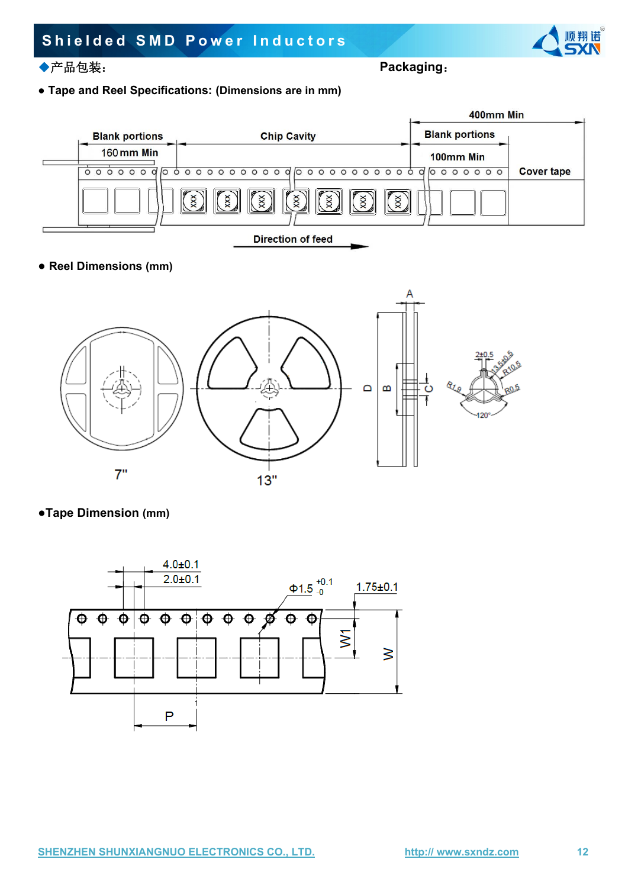# **Shielded SMD Power Inductors** er Induct



aging.<br>aging.

● **Tape and Reel Specifications: (Dimensions are in mm)**



### **● Reel Dimensions (mm)**



●**Tape Dimension (mm)**

SH<br>SH<br>SH<br>SH<br>SH



StN

StN

**诺。**<br>今人

 $5/10$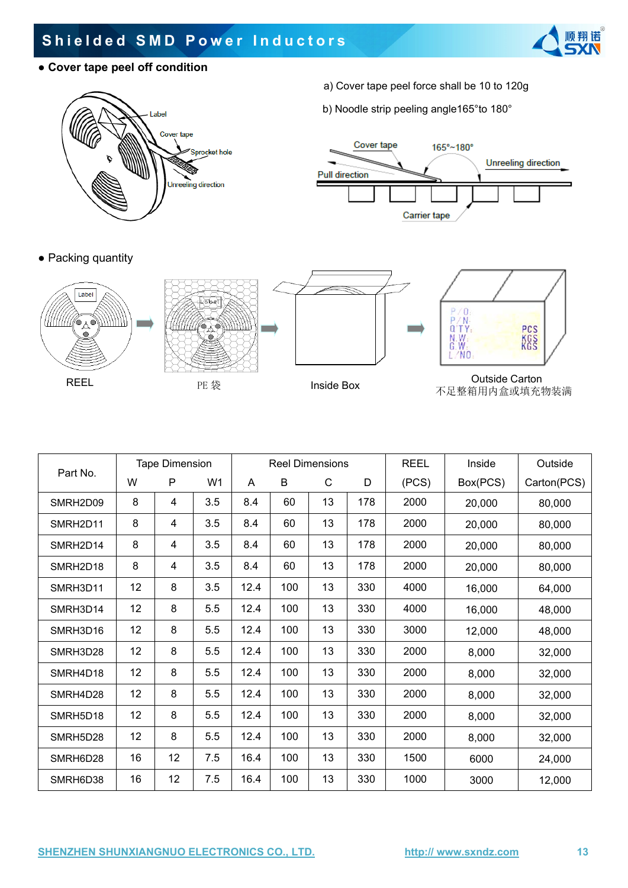# **Shielded SMD Power Inductors** er Induct

**● Cover tape peel off condition**



- a) **r s**<br>a) Cover tape peel force shall be 10 to 120g
- b) Noodle strip peeling angle165°to 180° By Noodle strip p

165°~180°











**Unreeling direction** 

StN

**诺。**<br>今人

REEL PE 袋 Inside Box Outside Carton 不足整箱用内盒或填充物装满 Duts<br>不足整箱用<br>C







 $S_{\mathcal{N}}$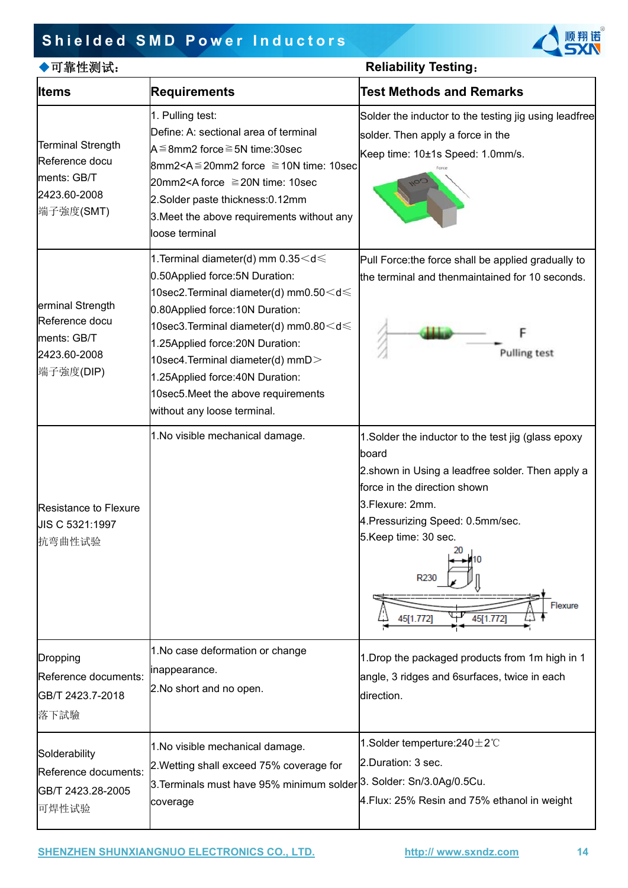### **Shielded SMD Power Inductors**



| ▶可靠性测试:                                                                        |                                                                                                                                                                                                                                                                                                           | <b>Reliability Testing:</b>                                                                                                                                                |  |
|--------------------------------------------------------------------------------|-----------------------------------------------------------------------------------------------------------------------------------------------------------------------------------------------------------------------------------------------------------------------------------------------------------|----------------------------------------------------------------------------------------------------------------------------------------------------------------------------|--|
| <b>Iltems</b>                                                                  | <b>Requirements</b>                                                                                                                                                                                                                                                                                       | <b>Test Methods and Remarks</b>                                                                                                                                            |  |
| <b>Terminal Strength</b><br>Reference docu                                     | 1. Pulling test:<br>Define: A: sectional area of terminal<br>A≦8mm2 force≧5N time:30sec<br>$8mm2 < A \le 20mm2$ force $≥ 10N$ time: 10sec                                                                                                                                                                 | Solder the inductor to the testing jig using leadfree<br>solder. Then apply a force in the<br>Keep time: 10±1s Speed: 1.0mm/s.                                             |  |
| ments: GB/T<br>2423.60-2008<br>端子強度(SMT)                                       | 20mm2 <a 10sec<br="" force="" time:="" ≧20n="">2.Solder paste thickness: 0.12mm<br/>3. Meet the above requirements without any<br/>loose terminal</a>                                                                                                                                                     |                                                                                                                                                                            |  |
|                                                                                | 1. Terminal diameter(d) mm $0.35<$ d $\leqslant$<br>0.50Applied force: 5N Duration:                                                                                                                                                                                                                       | Pull Force:the force shall be applied gradually to<br>the terminal and thenmaintained for 10 seconds.                                                                      |  |
| erminal Strength<br>Reference docu<br>ments: GB/T<br>2423.60-2008<br>端子強度(DIP) | 10sec2.Terminal diameter(d) mm0.50 < d ≤<br>0.80Applied force: 10N Duration:<br>10sec3.Terminal diameter(d) mm0.80 < d ≤<br>25Applied force: 20N Duration:<br>10sec4.Terminal diameter(d) mmD $>$<br>.25Applied force:40N Duration:<br>10sec5. Meet the above requirements<br>without any loose terminal. | <b>Pulling test</b>                                                                                                                                                        |  |
|                                                                                | 1. No visible mechanical damage.                                                                                                                                                                                                                                                                          | 1. Solder the inductor to the test jig (glass epoxy                                                                                                                        |  |
| Resistance to Flexure<br>JIS C 5321:1997<br>抗弯曲性试验                             |                                                                                                                                                                                                                                                                                                           | board<br>2.shown in Using a leadfree solder. Then apply a<br>fforce in the direction shown<br>3.Flexure: 2mm.<br>4. Pressurizing Speed: 0.5mm/sec.<br>5.Keep time: 30 sec. |  |
|                                                                                |                                                                                                                                                                                                                                                                                                           | R <sub>23</sub><br>Flexure<br>45[1.772]<br>45[1.772]                                                                                                                       |  |
| Dropping<br>Reference documents:<br>GB/T 2423.7-2018<br>落下試驗                   | 1. No case deformation or change<br>inappearance.<br>2. No short and no open.                                                                                                                                                                                                                             | 1. Drop the packaged products from 1m high in 1<br>angle, 3 ridges and 6surfaces, twice in each<br>direction.                                                              |  |
| Solderability<br>Reference documents:<br>GB/T 2423.28-2005<br>可焊性试验            | 1. No visible mechanical damage.<br>2. Wetting shall exceed 75% coverage for<br>3. Terminals must have 95% minimum solder 3. Solder: Sn/3.0Ag/0.5Cu.<br>coverage                                                                                                                                          | 1.Solder temperture:240 $\pm$ 2°C<br>2.Duration: 3 sec.<br>4. Flux: 25% Resin and 75% ethanol in weight                                                                    |  |

### **SHENZHEN SHUNXIANGNUO ELECTRONICS CO., LTD. http:// www.sxndz.com 14** SH<br>SH<br>SH<br>SH **NGNUO ELECTR**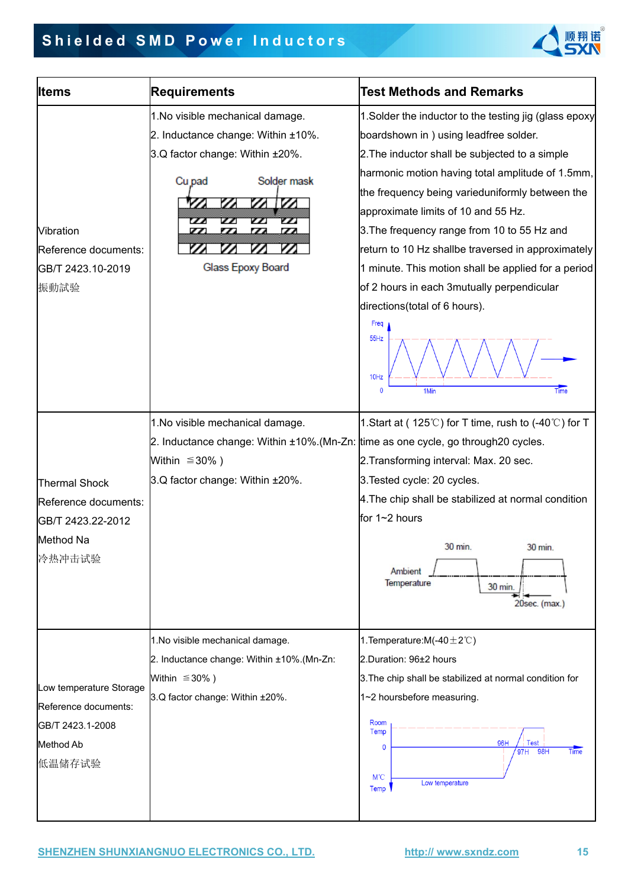

| <b>Items</b>            | <b>Requirements</b>                                                                                            | <b>Test Methods and Remarks</b>                                                            |  |  |
|-------------------------|----------------------------------------------------------------------------------------------------------------|--------------------------------------------------------------------------------------------|--|--|
|                         | 1. No visible mechanical damage.                                                                               | 1. Solder the inductor to the testing jig (glass epoxy                                     |  |  |
|                         | 2. Inductance change: Within ±10%.                                                                             | boardshown in) using leadfree solder.                                                      |  |  |
|                         | 3.Q factor change: Within ±20%.                                                                                | 2. The inductor shall be subjected to a simple                                             |  |  |
|                         |                                                                                                                | harmonic motion having total amplitude of 1.5mm,                                           |  |  |
|                         | Solder mask<br>Cu pad                                                                                          | the frequency being varieduniformly between the                                            |  |  |
|                         | $\mathbb{Z}$<br>Z                                                                                              | approximate limits of 10 and 55 Hz.                                                        |  |  |
| <b>Vibration</b>        | $\prime\prime$<br>$\boldsymbol{''}$<br>77.<br>$\overline{\phantom{a}}$<br>77.<br>$\overline{\phantom{a}}$<br>I | 3. The frequency range from 10 to 55 Hz and                                                |  |  |
| Reference documents:    |                                                                                                                | return to 10 Hz shallbe traversed in approximately                                         |  |  |
| GB/T 2423.10-2019       | Glass Epoxy Board                                                                                              | 1 minute. This motion shall be applied for a period                                        |  |  |
| 振動試验                    |                                                                                                                | of 2 hours in each 3mutually perpendicular                                                 |  |  |
|                         |                                                                                                                | directions(total of 6 hours).                                                              |  |  |
|                         |                                                                                                                | Freq                                                                                       |  |  |
|                         |                                                                                                                | 55Hz                                                                                       |  |  |
|                         |                                                                                                                |                                                                                            |  |  |
|                         |                                                                                                                | 10Hz                                                                                       |  |  |
|                         |                                                                                                                | Time<br>$\mathbf{0}$<br>1Min                                                               |  |  |
|                         | 1. No visible mechanical damage.                                                                               | 1. Start at (125℃) for T time, rush to (-40℃) for T                                        |  |  |
|                         |                                                                                                                | 2. Inductance change: Within $\pm 10\%$ . (Mn-Zn: time as one cycle, go through 20 cycles. |  |  |
|                         | Within $\leq 30\%$ )                                                                                           | 2. Transforming interval: Max. 20 sec.                                                     |  |  |
|                         | 3.Q factor change: Within ±20%.                                                                                | 3. Tested cycle: 20 cycles.                                                                |  |  |
| <b>Thermal Shock</b>    |                                                                                                                | 4. The chip shall be stabilized at normal condition                                        |  |  |
| Reference documents:    |                                                                                                                | for 1~2 hours                                                                              |  |  |
| GB/T 2423.22-2012       |                                                                                                                |                                                                                            |  |  |
| Method Na               |                                                                                                                | 30 min.<br>30 min.                                                                         |  |  |
| 冷热冲击试验                  |                                                                                                                | Ambient                                                                                    |  |  |
|                         |                                                                                                                | Temperature<br>30 min.                                                                     |  |  |
|                         |                                                                                                                | 20sec. (max.)                                                                              |  |  |
|                         |                                                                                                                |                                                                                            |  |  |
|                         | 1. No visible mechanical damage.                                                                               | 1. Temperature: M(-40 $\pm$ 2°C)                                                           |  |  |
|                         | 2. Inductance change: Within ±10%.(Mn-Zn:                                                                      | 2.Duration: 96±2 hours                                                                     |  |  |
| Low temperature Storage | Within $\leq 30\%$ )                                                                                           | 3. The chip shall be stabilized at normal condition for                                    |  |  |
| Reference documents:    | 3.Q factor change: Within ±20%.                                                                                | 1~2 hoursbefore measuring.                                                                 |  |  |
| GB/T 2423.1-2008        |                                                                                                                | Room                                                                                       |  |  |
| Method Ab               |                                                                                                                | Temp<br>96H<br>Fest                                                                        |  |  |
| 低温储存试验                  |                                                                                                                | $\Omega$<br>Time<br>97H<br>98H                                                             |  |  |
|                         |                                                                                                                | $M^{\circ}C$                                                                               |  |  |

### **SHENZHEN SHUNXIANGNUO ELECTRONICS CO., LTD. http:// www.sxndz.com 15** SH<br>SH<br>SH **NGNUO ELECTR**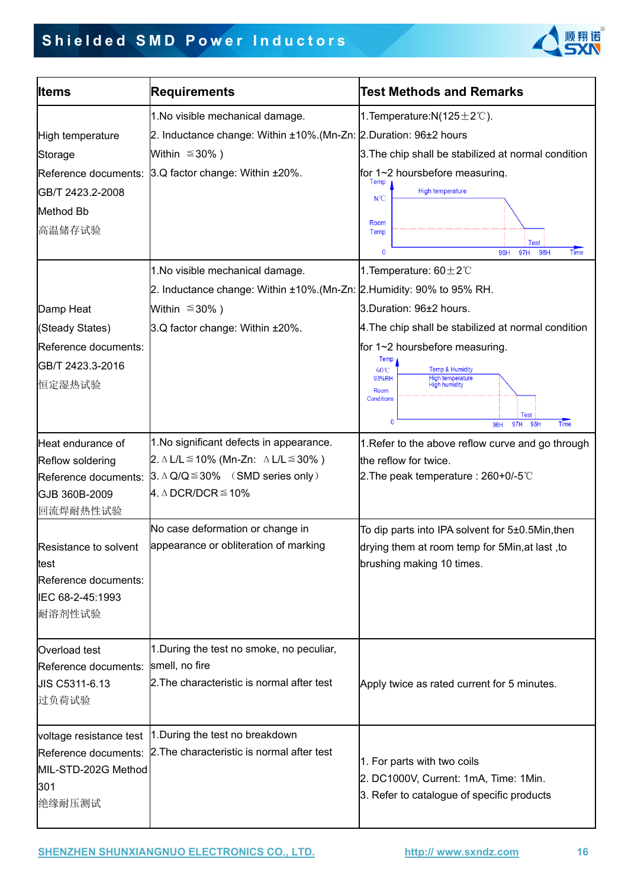# **Shielded SMD Power Inductors** er Induct



| <b>Test Methods and Remarks</b><br><b>Requirements</b><br><b>Iltems</b><br>1. Temperature: $N(125 \pm 2^{\circ}C)$ .<br>1. No visible mechanical damage.<br>2. Inductance change: Within ±10%.(Mn-Zn: 2. Duration: 96±2 hours<br>High temperature<br>3. The chip shall be stabilized at normal condition<br>Within $\leq 30\%$ )<br>Storage<br>Reference documents: 3.Q factor change: Within ±20%.<br>for 1~2 hoursbefore measuring.<br>Temp<br><b>High temperature</b><br>GB/T 2423.2-2008<br>$N^{\circ}C$<br>Method Bb<br>Room<br>高温储存试验<br>Temp<br>$\mathbf 0$<br>96H<br>1. Temperature: $60 \pm 2^{\circ}$ C<br>1. No visible mechanical damage.<br>2. Inductance change: Within ±10%.(Mn-Zn: 2. Humidity: 90% to 95% RH.<br>Within $\leq 30\%$ )<br>3.Duration: 96±2 hours.<br>Damp Heat<br>3.Q factor change: Within ±20%.<br>4. The chip shall be stabilized at normal condition<br>(Steady States)<br>for 1~2 hoursbefore measuring.<br>Reference documents:<br>Temp<br>GB/T 2423.3-2016<br><b>Temp &amp; Humidity</b><br>60°C<br>93%RH<br>High temperature<br>High humidity<br>恒定湿热试验<br>Room<br><b>Conditions</b><br>96H<br>1. No significant defects in appearance.<br>Heat endurance of<br>1. Refer to the above reflow curve and go through<br>2. ∆ L/L $\leq$ 10% (Mn-Zn: ∆ L/L $\leq$ 30%)<br>Reflow soldering<br>the reflow for twice.<br>$3. \triangle Q/Q \le 30\%$ (SMD series only)<br>2. The peak temperature : $260+0/-5$ °C<br>Reference documents:<br>4. $\triangle$ DCR/DCR $\leq$ 10%<br>GJB 360B-2009<br>回流焊耐热性试验<br>No case deformation or change in<br>To dip parts into IPA solvent for 5±0.5Min, then<br>appearance or obliteration of marking<br>Resistance to solvent<br>drying them at room temp for 5Min, at last, to<br>brushing making 10 times.<br>test<br>Reference documents:<br>IEC 68-2-45:1993<br>耐溶剂性试验<br>1. During the test no smoke, no peculiar,<br>Overload test<br>smell, no fire<br>Reference documents: |                                   |
|--------------------------------------------------------------------------------------------------------------------------------------------------------------------------------------------------------------------------------------------------------------------------------------------------------------------------------------------------------------------------------------------------------------------------------------------------------------------------------------------------------------------------------------------------------------------------------------------------------------------------------------------------------------------------------------------------------------------------------------------------------------------------------------------------------------------------------------------------------------------------------------------------------------------------------------------------------------------------------------------------------------------------------------------------------------------------------------------------------------------------------------------------------------------------------------------------------------------------------------------------------------------------------------------------------------------------------------------------------------------------------------------------------------------------------------------------------------------------------------------------------------------------------------------------------------------------------------------------------------------------------------------------------------------------------------------------------------------------------------------------------------------------------------------------------------------------------------------------------------------------------------------------------------------------------------------------------------|-----------------------------------|
|                                                                                                                                                                                                                                                                                                                                                                                                                                                                                                                                                                                                                                                                                                                                                                                                                                                                                                                                                                                                                                                                                                                                                                                                                                                                                                                                                                                                                                                                                                                                                                                                                                                                                                                                                                                                                                                                                                                                                              |                                   |
|                                                                                                                                                                                                                                                                                                                                                                                                                                                                                                                                                                                                                                                                                                                                                                                                                                                                                                                                                                                                                                                                                                                                                                                                                                                                                                                                                                                                                                                                                                                                                                                                                                                                                                                                                                                                                                                                                                                                                              |                                   |
|                                                                                                                                                                                                                                                                                                                                                                                                                                                                                                                                                                                                                                                                                                                                                                                                                                                                                                                                                                                                                                                                                                                                                                                                                                                                                                                                                                                                                                                                                                                                                                                                                                                                                                                                                                                                                                                                                                                                                              |                                   |
|                                                                                                                                                                                                                                                                                                                                                                                                                                                                                                                                                                                                                                                                                                                                                                                                                                                                                                                                                                                                                                                                                                                                                                                                                                                                                                                                                                                                                                                                                                                                                                                                                                                                                                                                                                                                                                                                                                                                                              |                                   |
|                                                                                                                                                                                                                                                                                                                                                                                                                                                                                                                                                                                                                                                                                                                                                                                                                                                                                                                                                                                                                                                                                                                                                                                                                                                                                                                                                                                                                                                                                                                                                                                                                                                                                                                                                                                                                                                                                                                                                              |                                   |
|                                                                                                                                                                                                                                                                                                                                                                                                                                                                                                                                                                                                                                                                                                                                                                                                                                                                                                                                                                                                                                                                                                                                                                                                                                                                                                                                                                                                                                                                                                                                                                                                                                                                                                                                                                                                                                                                                                                                                              |                                   |
|                                                                                                                                                                                                                                                                                                                                                                                                                                                                                                                                                                                                                                                                                                                                                                                                                                                                                                                                                                                                                                                                                                                                                                                                                                                                                                                                                                                                                                                                                                                                                                                                                                                                                                                                                                                                                                                                                                                                                              |                                   |
|                                                                                                                                                                                                                                                                                                                                                                                                                                                                                                                                                                                                                                                                                                                                                                                                                                                                                                                                                                                                                                                                                                                                                                                                                                                                                                                                                                                                                                                                                                                                                                                                                                                                                                                                                                                                                                                                                                                                                              |                                   |
|                                                                                                                                                                                                                                                                                                                                                                                                                                                                                                                                                                                                                                                                                                                                                                                                                                                                                                                                                                                                                                                                                                                                                                                                                                                                                                                                                                                                                                                                                                                                                                                                                                                                                                                                                                                                                                                                                                                                                              | <b>Test</b><br>Time<br>97H<br>98H |
|                                                                                                                                                                                                                                                                                                                                                                                                                                                                                                                                                                                                                                                                                                                                                                                                                                                                                                                                                                                                                                                                                                                                                                                                                                                                                                                                                                                                                                                                                                                                                                                                                                                                                                                                                                                                                                                                                                                                                              |                                   |
|                                                                                                                                                                                                                                                                                                                                                                                                                                                                                                                                                                                                                                                                                                                                                                                                                                                                                                                                                                                                                                                                                                                                                                                                                                                                                                                                                                                                                                                                                                                                                                                                                                                                                                                                                                                                                                                                                                                                                              |                                   |
|                                                                                                                                                                                                                                                                                                                                                                                                                                                                                                                                                                                                                                                                                                                                                                                                                                                                                                                                                                                                                                                                                                                                                                                                                                                                                                                                                                                                                                                                                                                                                                                                                                                                                                                                                                                                                                                                                                                                                              |                                   |
|                                                                                                                                                                                                                                                                                                                                                                                                                                                                                                                                                                                                                                                                                                                                                                                                                                                                                                                                                                                                                                                                                                                                                                                                                                                                                                                                                                                                                                                                                                                                                                                                                                                                                                                                                                                                                                                                                                                                                              |                                   |
|                                                                                                                                                                                                                                                                                                                                                                                                                                                                                                                                                                                                                                                                                                                                                                                                                                                                                                                                                                                                                                                                                                                                                                                                                                                                                                                                                                                                                                                                                                                                                                                                                                                                                                                                                                                                                                                                                                                                                              |                                   |
|                                                                                                                                                                                                                                                                                                                                                                                                                                                                                                                                                                                                                                                                                                                                                                                                                                                                                                                                                                                                                                                                                                                                                                                                                                                                                                                                                                                                                                                                                                                                                                                                                                                                                                                                                                                                                                                                                                                                                              |                                   |
|                                                                                                                                                                                                                                                                                                                                                                                                                                                                                                                                                                                                                                                                                                                                                                                                                                                                                                                                                                                                                                                                                                                                                                                                                                                                                                                                                                                                                                                                                                                                                                                                                                                                                                                                                                                                                                                                                                                                                              |                                   |
|                                                                                                                                                                                                                                                                                                                                                                                                                                                                                                                                                                                                                                                                                                                                                                                                                                                                                                                                                                                                                                                                                                                                                                                                                                                                                                                                                                                                                                                                                                                                                                                                                                                                                                                                                                                                                                                                                                                                                              |                                   |
|                                                                                                                                                                                                                                                                                                                                                                                                                                                                                                                                                                                                                                                                                                                                                                                                                                                                                                                                                                                                                                                                                                                                                                                                                                                                                                                                                                                                                                                                                                                                                                                                                                                                                                                                                                                                                                                                                                                                                              | <b>Test</b><br>Time<br>98H<br>97H |
|                                                                                                                                                                                                                                                                                                                                                                                                                                                                                                                                                                                                                                                                                                                                                                                                                                                                                                                                                                                                                                                                                                                                                                                                                                                                                                                                                                                                                                                                                                                                                                                                                                                                                                                                                                                                                                                                                                                                                              |                                   |
|                                                                                                                                                                                                                                                                                                                                                                                                                                                                                                                                                                                                                                                                                                                                                                                                                                                                                                                                                                                                                                                                                                                                                                                                                                                                                                                                                                                                                                                                                                                                                                                                                                                                                                                                                                                                                                                                                                                                                              |                                   |
|                                                                                                                                                                                                                                                                                                                                                                                                                                                                                                                                                                                                                                                                                                                                                                                                                                                                                                                                                                                                                                                                                                                                                                                                                                                                                                                                                                                                                                                                                                                                                                                                                                                                                                                                                                                                                                                                                                                                                              |                                   |
|                                                                                                                                                                                                                                                                                                                                                                                                                                                                                                                                                                                                                                                                                                                                                                                                                                                                                                                                                                                                                                                                                                                                                                                                                                                                                                                                                                                                                                                                                                                                                                                                                                                                                                                                                                                                                                                                                                                                                              |                                   |
|                                                                                                                                                                                                                                                                                                                                                                                                                                                                                                                                                                                                                                                                                                                                                                                                                                                                                                                                                                                                                                                                                                                                                                                                                                                                                                                                                                                                                                                                                                                                                                                                                                                                                                                                                                                                                                                                                                                                                              |                                   |
|                                                                                                                                                                                                                                                                                                                                                                                                                                                                                                                                                                                                                                                                                                                                                                                                                                                                                                                                                                                                                                                                                                                                                                                                                                                                                                                                                                                                                                                                                                                                                                                                                                                                                                                                                                                                                                                                                                                                                              |                                   |
|                                                                                                                                                                                                                                                                                                                                                                                                                                                                                                                                                                                                                                                                                                                                                                                                                                                                                                                                                                                                                                                                                                                                                                                                                                                                                                                                                                                                                                                                                                                                                                                                                                                                                                                                                                                                                                                                                                                                                              |                                   |
|                                                                                                                                                                                                                                                                                                                                                                                                                                                                                                                                                                                                                                                                                                                                                                                                                                                                                                                                                                                                                                                                                                                                                                                                                                                                                                                                                                                                                                                                                                                                                                                                                                                                                                                                                                                                                                                                                                                                                              |                                   |
|                                                                                                                                                                                                                                                                                                                                                                                                                                                                                                                                                                                                                                                                                                                                                                                                                                                                                                                                                                                                                                                                                                                                                                                                                                                                                                                                                                                                                                                                                                                                                                                                                                                                                                                                                                                                                                                                                                                                                              |                                   |
|                                                                                                                                                                                                                                                                                                                                                                                                                                                                                                                                                                                                                                                                                                                                                                                                                                                                                                                                                                                                                                                                                                                                                                                                                                                                                                                                                                                                                                                                                                                                                                                                                                                                                                                                                                                                                                                                                                                                                              |                                   |
|                                                                                                                                                                                                                                                                                                                                                                                                                                                                                                                                                                                                                                                                                                                                                                                                                                                                                                                                                                                                                                                                                                                                                                                                                                                                                                                                                                                                                                                                                                                                                                                                                                                                                                                                                                                                                                                                                                                                                              |                                   |
|                                                                                                                                                                                                                                                                                                                                                                                                                                                                                                                                                                                                                                                                                                                                                                                                                                                                                                                                                                                                                                                                                                                                                                                                                                                                                                                                                                                                                                                                                                                                                                                                                                                                                                                                                                                                                                                                                                                                                              |                                   |
|                                                                                                                                                                                                                                                                                                                                                                                                                                                                                                                                                                                                                                                                                                                                                                                                                                                                                                                                                                                                                                                                                                                                                                                                                                                                                                                                                                                                                                                                                                                                                                                                                                                                                                                                                                                                                                                                                                                                                              |                                   |
| 2. The characteristic is normal after test<br><b>JIS C5311-6.13</b><br>Apply twice as rated current for 5 minutes.                                                                                                                                                                                                                                                                                                                                                                                                                                                                                                                                                                                                                                                                                                                                                                                                                                                                                                                                                                                                                                                                                                                                                                                                                                                                                                                                                                                                                                                                                                                                                                                                                                                                                                                                                                                                                                           |                                   |
| 过负荷试验                                                                                                                                                                                                                                                                                                                                                                                                                                                                                                                                                                                                                                                                                                                                                                                                                                                                                                                                                                                                                                                                                                                                                                                                                                                                                                                                                                                                                                                                                                                                                                                                                                                                                                                                                                                                                                                                                                                                                        |                                   |
|                                                                                                                                                                                                                                                                                                                                                                                                                                                                                                                                                                                                                                                                                                                                                                                                                                                                                                                                                                                                                                                                                                                                                                                                                                                                                                                                                                                                                                                                                                                                                                                                                                                                                                                                                                                                                                                                                                                                                              |                                   |
| 1. During the test no breakdown<br>voltage resistance test                                                                                                                                                                                                                                                                                                                                                                                                                                                                                                                                                                                                                                                                                                                                                                                                                                                                                                                                                                                                                                                                                                                                                                                                                                                                                                                                                                                                                                                                                                                                                                                                                                                                                                                                                                                                                                                                                                   |                                   |
| Reference documents: 2. The characteristic is normal after test<br>1. For parts with two coils                                                                                                                                                                                                                                                                                                                                                                                                                                                                                                                                                                                                                                                                                                                                                                                                                                                                                                                                                                                                                                                                                                                                                                                                                                                                                                                                                                                                                                                                                                                                                                                                                                                                                                                                                                                                                                                               |                                   |
| MIL-STD-202G Method<br>2. DC1000V, Current: 1mA, Time: 1Min.                                                                                                                                                                                                                                                                                                                                                                                                                                                                                                                                                                                                                                                                                                                                                                                                                                                                                                                                                                                                                                                                                                                                                                                                                                                                                                                                                                                                                                                                                                                                                                                                                                                                                                                                                                                                                                                                                                 |                                   |
| 301<br>3. Refer to catalogue of specific products                                                                                                                                                                                                                                                                                                                                                                                                                                                                                                                                                                                                                                                                                                                                                                                                                                                                                                                                                                                                                                                                                                                                                                                                                                                                                                                                                                                                                                                                                                                                                                                                                                                                                                                                                                                                                                                                                                            |                                   |
| 绝缘耐压测试                                                                                                                                                                                                                                                                                                                                                                                                                                                                                                                                                                                                                                                                                                                                                                                                                                                                                                                                                                                                                                                                                                                                                                                                                                                                                                                                                                                                                                                                                                                                                                                                                                                                                                                                                                                                                                                                                                                                                       |                                   |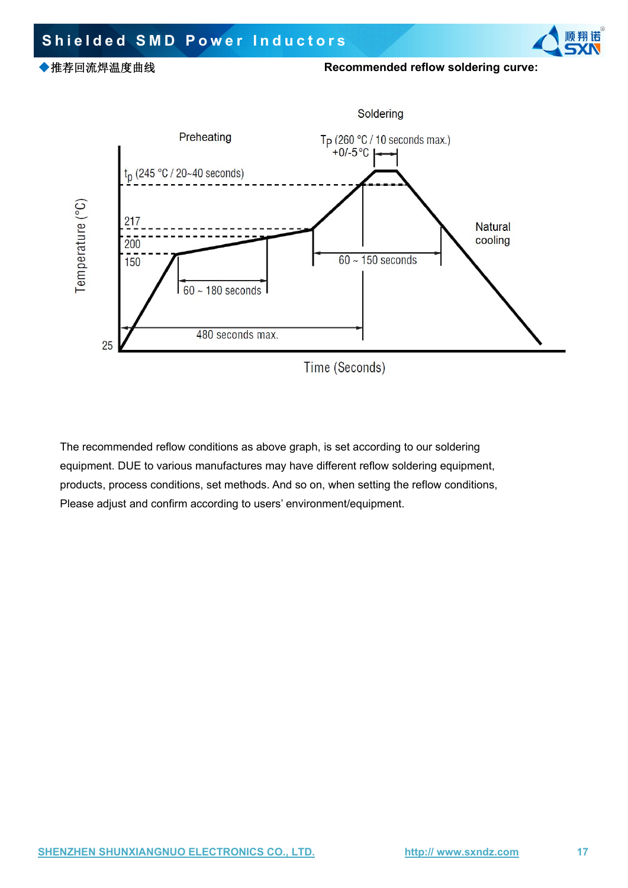### er Induct reflow solderin **诺。**<br>今人 **Shielded SMD Power Inductors** ◆推荐回流焊温度曲线 **Recommended reflow soldering curve:** Soldering<br>T<sub>P</sub> (260 °C / 10 seconds max.)<br>+0/-5 °C  $\rightarrow$  $5/10$ Preheating<br> $t_n$  (245 °C / 20~40 seconds) Temperature (°C)<br>Temperature (°C)<br>Tonicion<br>Tonicion 3 Na StN  $\begin{array}{r} \hline 160 \div 180 \\ 480 \text{ se} \end{array}$  $S_{\mathcal{R}}$  $\sum_{i=1}^N$ 25 Time (Seconds)

The recommended reflow conditions as above graph, is set according to our soldering equipment. DUE to various manufactures may have different reflow soldering equipment, products, process conditions, set methods. And so on, when setting the reflow conditions,

 $5/10$ 

to various manuractures may nave different reflow so<br>s conditions, set methods. And so on, when setting th<br>d confirm according to users' environment/equipment

 $5/10$ 

 $5/10$ 

 $5/10$ 

Please adjust and confirm according to users' environment/equipment.

**SHENZHEN SHUNXIANGNUO ELECTRONICS CO., LTD. http:// www.sxndz.com 17** SH<br>SH<br>SH<br>SH<br>SH **NGNUO ELECTR** 

 $5/10$ 

 $5/10$ 

 $5/10$ 

 $5/10$ 

 $5/10$ 

 $5/10$ 

 $S_{\mathcal{N}}$ 

StN

StN

 $5/10$ 

 $5/10$